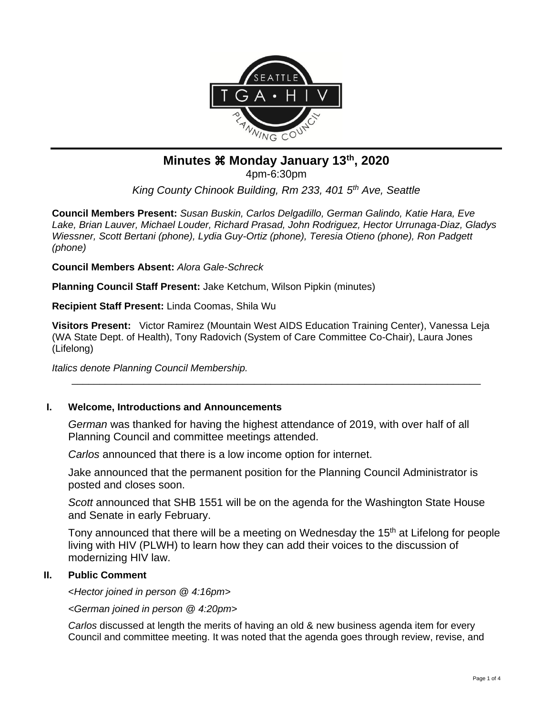

# **Minutes Monday January 13th, 2020**

4pm-6:30pm

*King County Chinook Building, Rm 233, 401 5th Ave, Seattle*

**Council Members Present:** *Susan Buskin, Carlos Delgadillo, German Galindo, Katie Hara, Eve Lake, Brian Lauver, Michael Louder, Richard Prasad, John Rodriguez, Hector Urrunaga-Diaz, Gladys Wiessner, Scott Bertani (phone), Lydia Guy-Ortiz (phone), Teresia Otieno (phone), Ron Padgett (phone)*

**Council Members Absent:** *Alora Gale-Schreck*

**Planning Council Staff Present:** Jake Ketchum, Wilson Pipkin (minutes)

**Recipient Staff Present:** Linda Coomas, Shila Wu

**Visitors Present:** Victor Ramirez (Mountain West AIDS Education Training Center), Vanessa Leja (WA State Dept. of Health), Tony Radovich (System of Care Committee Co-Chair), Laura Jones (Lifelong)

\_\_\_\_\_\_\_\_\_\_\_\_\_\_\_\_\_\_\_\_\_\_\_\_\_\_\_\_\_\_\_\_\_\_\_\_\_\_\_\_\_\_\_\_\_\_\_\_\_\_\_\_\_\_\_\_\_\_\_\_\_\_\_\_\_\_\_\_\_\_\_\_\_\_

*Italics denote Planning Council Membership.* 

# **I. Welcome, Introductions and Announcements**

*German* was thanked for having the highest attendance of 2019, with over half of all Planning Council and committee meetings attended.

*Carlos* announced that there is a low income option for internet.

Jake announced that the permanent position for the Planning Council Administrator is posted and closes soon.

*Scott* announced that SHB 1551 will be on the agenda for the Washington State House and Senate in early February.

Tony announced that there will be a meeting on Wednesday the 15<sup>th</sup> at Lifelong for people living with HIV (PLWH) to learn how they can add their voices to the discussion of modernizing HIV law.

# **II. Public Comment**

<*Hector joined in person @ 4:16pm>*

*<German joined in person @ 4:20pm>*

*Carlos* discussed at length the merits of having an old & new business agenda item for every Council and committee meeting. It was noted that the agenda goes through review, revise, and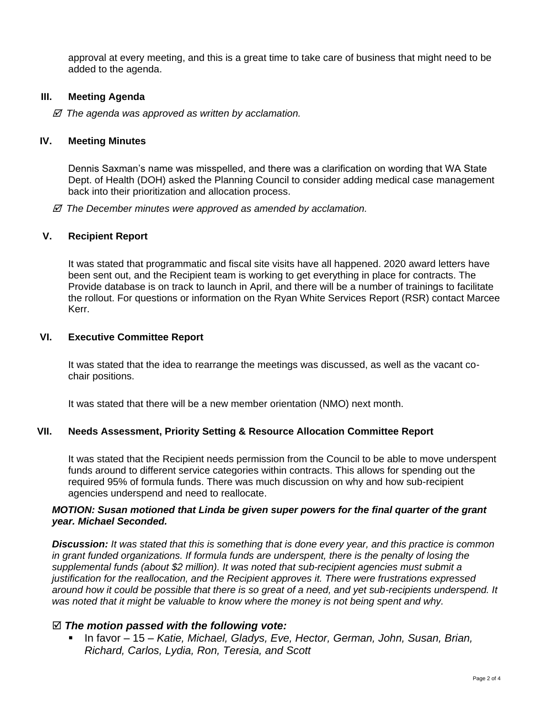approval at every meeting, and this is a great time to take care of business that might need to be added to the agenda.

### **III. Meeting Agenda**

 *The agenda was approved as written by acclamation.*

#### **IV. Meeting Minutes**

Dennis Saxman's name was misspelled, and there was a clarification on wording that WA State Dept. of Health (DOH) asked the Planning Council to consider adding medical case management back into their prioritization and allocation process.

 *The December minutes were approved as amended by acclamation.*

#### **V. Recipient Report**

It was stated that programmatic and fiscal site visits have all happened. 2020 award letters have been sent out, and the Recipient team is working to get everything in place for contracts. The Provide database is on track to launch in April, and there will be a number of trainings to facilitate the rollout. For questions or information on the Ryan White Services Report (RSR) contact Marcee Kerr.

#### **VI. Executive Committee Report**

It was stated that the idea to rearrange the meetings was discussed, as well as the vacant cochair positions.

It was stated that there will be a new member orientation (NMO) next month.

#### **VII. Needs Assessment, Priority Setting & Resource Allocation Committee Report**

It was stated that the Recipient needs permission from the Council to be able to move underspent funds around to different service categories within contracts. This allows for spending out the required 95% of formula funds. There was much discussion on why and how sub-recipient agencies underspend and need to reallocate.

#### *MOTION: Susan motioned that Linda be given super powers for the final quarter of the grant year. Michael Seconded.*

*Discussion: It was stated that this is something that is done every year, and this practice is common in grant funded organizations. If formula funds are underspent, there is the penalty of losing the supplemental funds (about \$2 million). It was noted that sub-recipient agencies must submit a justification for the reallocation, and the Recipient approves it. There were frustrations expressed around how it could be possible that there is so great of a need, and yet sub-recipients underspend. It was noted that it might be valuable to know where the money is not being spent and why.*

#### *The motion passed with the following vote:*

■ In favor – 15 – *Katie, Michael, Gladys, Eve, Hector, German, John, Susan, Brian, Richard, Carlos, Lydia, Ron, Teresia, and Scott*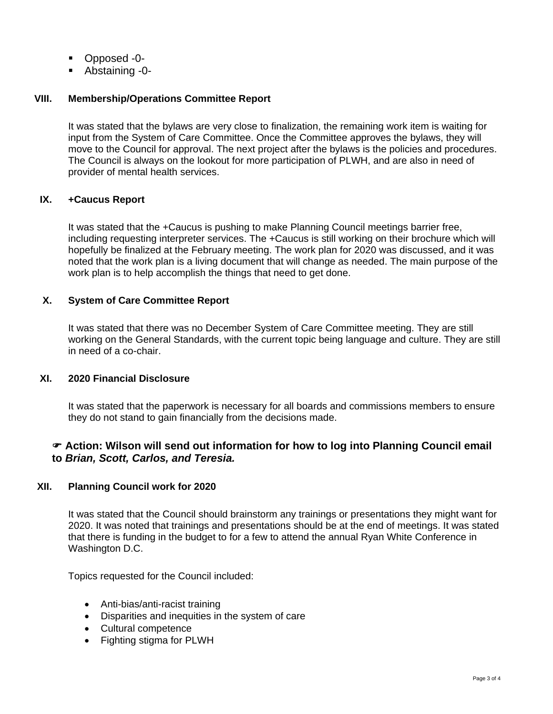- Opposed -0-
- Abstaining -0-

# **VIII. Membership/Operations Committee Report**

It was stated that the bylaws are very close to finalization, the remaining work item is waiting for input from the System of Care Committee. Once the Committee approves the bylaws, they will move to the Council for approval. The next project after the bylaws is the policies and procedures. The Council is always on the lookout for more participation of PLWH, and are also in need of provider of mental health services.

# **IX. +Caucus Report**

It was stated that the +Caucus is pushing to make Planning Council meetings barrier free, including requesting interpreter services. The +Caucus is still working on their brochure which will hopefully be finalized at the February meeting. The work plan for 2020 was discussed, and it was noted that the work plan is a living document that will change as needed. The main purpose of the work plan is to help accomplish the things that need to get done.

# **X. System of Care Committee Report**

It was stated that there was no December System of Care Committee meeting. They are still working on the General Standards, with the current topic being language and culture. They are still in need of a co-chair.

# **XI. 2020 Financial Disclosure**

It was stated that the paperwork is necessary for all boards and commissions members to ensure they do not stand to gain financially from the decisions made.

# **Action: Wilson will send out information for how to log into Planning Council email to** *Brian, Scott, Carlos, and Teresia.*

# **XII. Planning Council work for 2020**

It was stated that the Council should brainstorm any trainings or presentations they might want for 2020. It was noted that trainings and presentations should be at the end of meetings. It was stated that there is funding in the budget to for a few to attend the annual Ryan White Conference in Washington D.C.

Topics requested for the Council included:

- Anti-bias/anti-racist training
- Disparities and inequities in the system of care
- Cultural competence
- Fighting stigma for PLWH